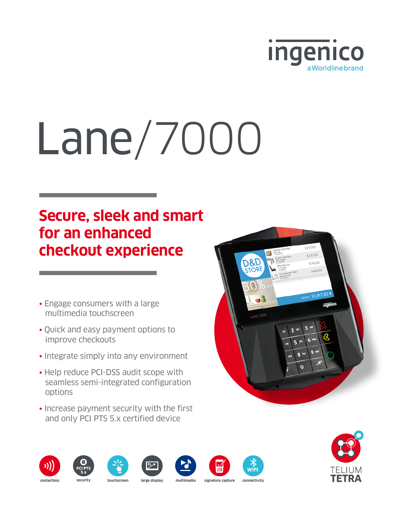

# Lane/7000

## **Secure, sleek and smart for an enhanced checkout experience**

- Engage consumers with a large multimedia touchscreen
- Quick and easy payment options to improve checkouts
- Integrate simply into any environment
- Help reduce PCI-DSS audit scope with seamless semi-integrated configuration options
- Increase payment security with the first and only PCI PTS 5.x certified device